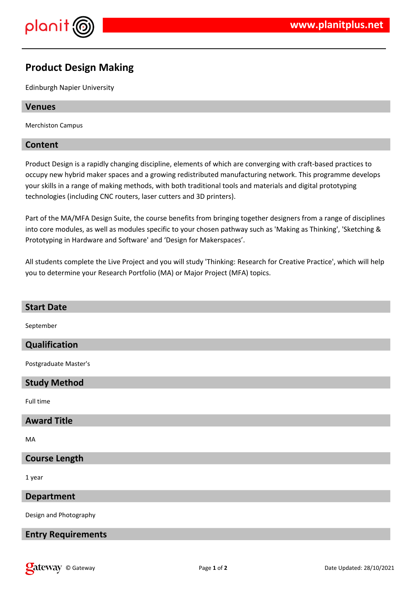

# **Product Design Making**

Edinburgh Napier University

#### **Venues**

Merchiston Campus

### **Content**

Product Design is a rapidly changing discipline, elements of which are converging with craft-based practices to occupy new hybrid maker spaces and a growing redistributed manufacturing network. This programme develops your skills in a range of making methods, with both traditional tools and materials and digital prototyping technologies (including CNC routers, laser cutters and 3D printers).

Part of the MA/MFA Design Suite, the course benefits from bringing together designers from a range of disciplines into core modules, as well as modules specific to your chosen pathway such as 'Making as Thinking', 'Sketching & Prototyping in Hardware and Software' and 'Design for Makerspaces'.

All students complete the Live Project and you will study 'Thinking: Research for Creative Practice', which will help you to determine your Research Portfolio (MA) or Major Project (MFA) topics.

| <b>Start Date</b>         |
|---------------------------|
| September                 |
| Qualification             |
| Postgraduate Master's     |
| <b>Study Method</b>       |
| Full time                 |
| <b>Award Title</b>        |
| MA                        |
| <b>Course Length</b>      |
| 1 year                    |
| <b>Department</b>         |
| Design and Photography    |
| <b>Entry Requirements</b> |
|                           |